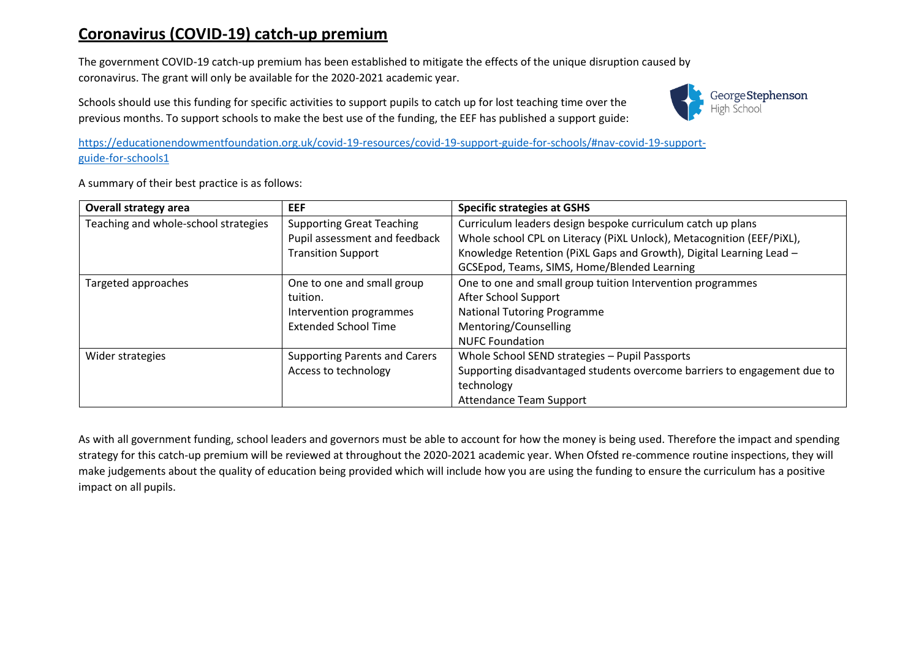## **Coronavirus (COVID-19) catch-up premium**

The government COVID-19 catch-up premium has been established to mitigate the effects of the unique disruption caused by coronavirus. The grant will only be available for the 2020-2021 academic year.

Schools should use this funding for specific activities to support pupils to catch up for lost teaching time over the previous months. To support schools to make the best use of the funding, the EEF has published a support guide:



[https://educationendowmentfoundation.org.uk/covid-19-resources/covid-19-support-guide-for-schools/#nav-covid-19-support](https://educationendowmentfoundation.org.uk/covid-19-resources/covid-19-support-guide-for-schools/#nav-covid-19-support-guide-for-schools1)[guide-for-schools1](https://educationendowmentfoundation.org.uk/covid-19-resources/covid-19-support-guide-for-schools/#nav-covid-19-support-guide-for-schools1)

| <b>Overall strategy area</b>         | <b>EEF</b>                           | <b>Specific strategies at GSHS</b>                                       |
|--------------------------------------|--------------------------------------|--------------------------------------------------------------------------|
| Teaching and whole-school strategies | <b>Supporting Great Teaching</b>     | Curriculum leaders design bespoke curriculum catch up plans              |
|                                      | Pupil assessment and feedback        | Whole school CPL on Literacy (PiXL Unlock), Metacognition (EEF/PiXL),    |
|                                      | <b>Transition Support</b>            | Knowledge Retention (PiXL Gaps and Growth), Digital Learning Lead -      |
|                                      |                                      | GCSEpod, Teams, SIMS, Home/Blended Learning                              |
| Targeted approaches                  | One to one and small group           | One to one and small group tuition Intervention programmes               |
|                                      | tuition.                             | After School Support                                                     |
|                                      | Intervention programmes              | <b>National Tutoring Programme</b>                                       |
|                                      | <b>Extended School Time</b>          | Mentoring/Counselling                                                    |
|                                      |                                      | <b>NUFC Foundation</b>                                                   |
| Wider strategies                     | <b>Supporting Parents and Carers</b> | Whole School SEND strategies - Pupil Passports                           |
|                                      | Access to technology                 | Supporting disadvantaged students overcome barriers to engagement due to |
|                                      |                                      | technology                                                               |
|                                      |                                      | Attendance Team Support                                                  |

A summary of their best practice is as follows:

As with all government funding, school leaders and governors must be able to account for how the money is being used. Therefore the impact and spending strategy for this catch-up premium will be reviewed at throughout the 2020-2021 academic year. When Ofsted re-commence routine inspections, they will make judgements about the quality of education being provided which will include how you are using the funding to ensure the curriculum has a positive impact on all pupils.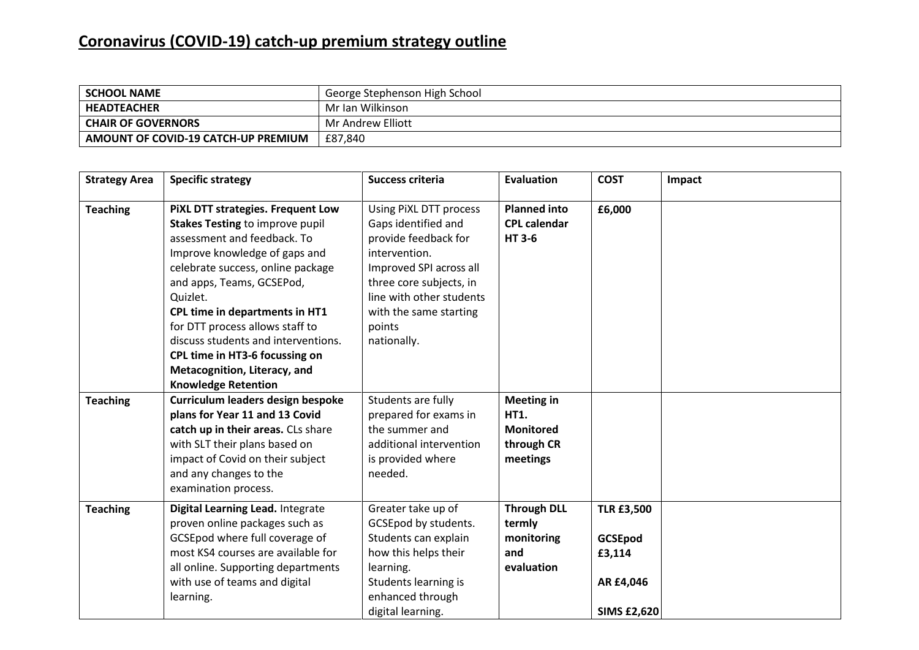## **Coronavirus (COVID-19) catch-up premium strategy outline**

| <b>SCHOOL NAME</b>                  | George Stephenson High School |
|-------------------------------------|-------------------------------|
| <b>HEADTEACHER</b>                  | Mr Ian Wilkinson              |
| <b>CHAIR OF GOVERNORS</b>           | Mr Andrew Elliott             |
| AMOUNT OF COVID-19 CATCH-UP PREMIUM | £87.840                       |

| <b>Strategy Area</b> | <b>Specific strategy</b>                                                                                                                                                                                                                                                                                                                                                                                                              | Success criteria                                                                                                                                                                                                            | <b>Evaluation</b>                                                              | <b>COST</b>                                                                      | Impact |
|----------------------|---------------------------------------------------------------------------------------------------------------------------------------------------------------------------------------------------------------------------------------------------------------------------------------------------------------------------------------------------------------------------------------------------------------------------------------|-----------------------------------------------------------------------------------------------------------------------------------------------------------------------------------------------------------------------------|--------------------------------------------------------------------------------|----------------------------------------------------------------------------------|--------|
| <b>Teaching</b>      | PiXL DTT strategies. Frequent Low<br><b>Stakes Testing to improve pupil</b><br>assessment and feedback. To<br>Improve knowledge of gaps and<br>celebrate success, online package<br>and apps, Teams, GCSEPod,<br>Quizlet.<br>CPL time in departments in HT1<br>for DTT process allows staff to<br>discuss students and interventions.<br>CPL time in HT3-6 focussing on<br>Metacognition, Literacy, and<br><b>Knowledge Retention</b> | Using PiXL DTT process<br>Gaps identified and<br>provide feedback for<br>intervention.<br>Improved SPI across all<br>three core subjects, in<br>line with other students<br>with the same starting<br>points<br>nationally. | <b>Planned into</b><br><b>CPL calendar</b><br><b>HT3-6</b>                     | £6,000                                                                           |        |
| <b>Teaching</b>      | Curriculum leaders design bespoke<br>plans for Year 11 and 13 Covid<br>catch up in their areas. CLs share<br>with SLT their plans based on<br>impact of Covid on their subject<br>and any changes to the<br>examination process.                                                                                                                                                                                                      | Students are fully<br>prepared for exams in<br>the summer and<br>additional intervention<br>is provided where<br>needed.                                                                                                    | <b>Meeting in</b><br><b>HT1.</b><br><b>Monitored</b><br>through CR<br>meetings |                                                                                  |        |
| <b>Teaching</b>      | Digital Learning Lead. Integrate<br>proven online packages such as<br>GCSEpod where full coverage of<br>most KS4 courses are available for<br>all online. Supporting departments<br>with use of teams and digital<br>learning.                                                                                                                                                                                                        | Greater take up of<br>GCSEpod by students.<br>Students can explain<br>how this helps their<br>learning.<br>Students learning is<br>enhanced through<br>digital learning.                                                    | <b>Through DLL</b><br>termly<br>monitoring<br>and<br>evaluation                | <b>TLR £3,500</b><br><b>GCSEpod</b><br>£3,114<br>AR £4,046<br><b>SIMS £2,620</b> |        |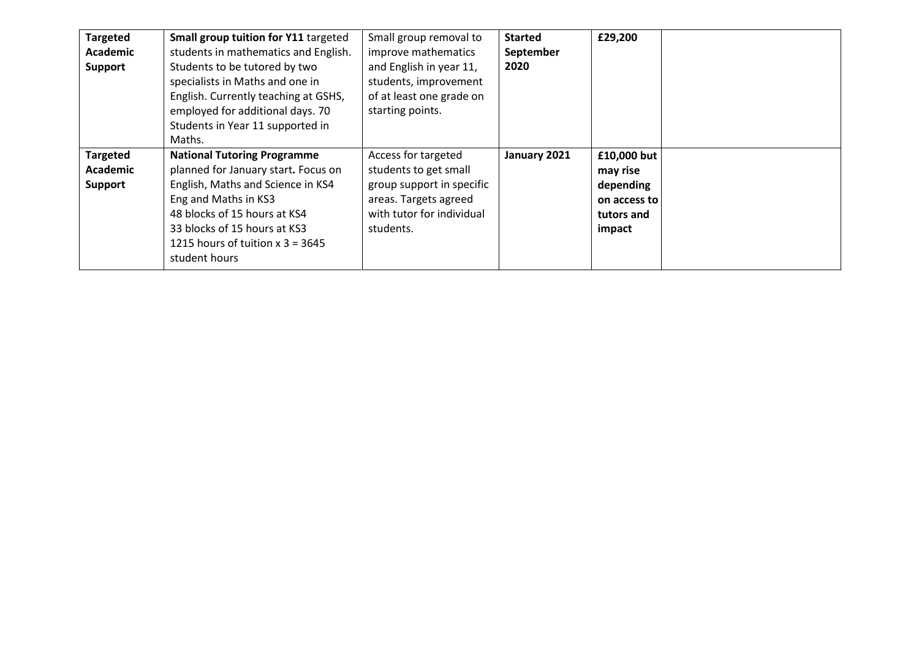| <b>Targeted</b><br><b>Academic</b><br><b>Support</b> | Small group tuition for Y11 targeted<br>students in mathematics and English.<br>Students to be tutored by two<br>specialists in Maths and one in<br>English. Currently teaching at GSHS,<br>employed for additional days. 70<br>Students in Year 11 supported in<br>Maths. | Small group removal to<br>improve mathematics<br>and English in year 11,<br>students, improvement<br>of at least one grade on<br>starting points. | <b>Started</b><br>September<br>2020 | £29,200                                                                      |  |
|------------------------------------------------------|----------------------------------------------------------------------------------------------------------------------------------------------------------------------------------------------------------------------------------------------------------------------------|---------------------------------------------------------------------------------------------------------------------------------------------------|-------------------------------------|------------------------------------------------------------------------------|--|
| <b>Targeted</b><br>Academic<br><b>Support</b>        | <b>National Tutoring Programme</b><br>planned for January start. Focus on<br>English, Maths and Science in KS4<br>Eng and Maths in KS3<br>48 blocks of 15 hours at KS4<br>33 blocks of 15 hours at KS3<br>1215 hours of tuition $x$ 3 = 3645<br>student hours              | Access for targeted<br>students to get small<br>group support in specific<br>areas. Targets agreed<br>with tutor for individual<br>students.      | January 2021                        | £10,000 but<br>may rise<br>depending<br>on access to<br>tutors and<br>impact |  |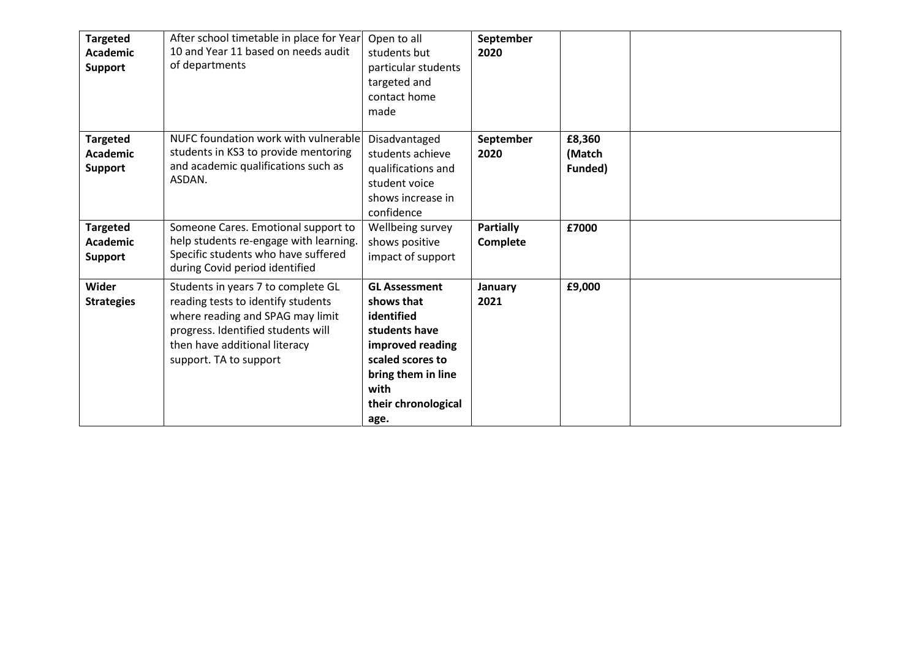| <b>Targeted</b><br><b>Academic</b><br><b>Support</b> | After school timetable in place for Year<br>10 and Year 11 based on needs audit<br>of departments                                                                                                             | Open to all<br>students but<br>particular students<br>targeted and<br>contact home<br>made                                                                             | September<br>2020            |                             |  |
|------------------------------------------------------|---------------------------------------------------------------------------------------------------------------------------------------------------------------------------------------------------------------|------------------------------------------------------------------------------------------------------------------------------------------------------------------------|------------------------------|-----------------------------|--|
| <b>Targeted</b><br><b>Academic</b><br><b>Support</b> | NUFC foundation work with vulnerable<br>students in KS3 to provide mentoring<br>and academic qualifications such as<br>ASDAN.                                                                                 | Disadvantaged<br>students achieve<br>qualifications and<br>student voice<br>shows increase in<br>confidence                                                            | September<br>2020            | £8,360<br>(Match<br>Funded) |  |
| <b>Targeted</b><br><b>Academic</b><br><b>Support</b> | Someone Cares. Emotional support to<br>help students re-engage with learning.<br>Specific students who have suffered<br>during Covid period identified                                                        | Wellbeing survey<br>shows positive<br>impact of support                                                                                                                | <b>Partially</b><br>Complete | £7000                       |  |
| Wider<br><b>Strategies</b>                           | Students in years 7 to complete GL<br>reading tests to identify students<br>where reading and SPAG may limit<br>progress. Identified students will<br>then have additional literacy<br>support. TA to support | <b>GL Assessment</b><br>shows that<br>identified<br>students have<br>improved reading<br>scaled scores to<br>bring them in line<br>with<br>their chronological<br>age. | January<br>2021              | £9,000                      |  |